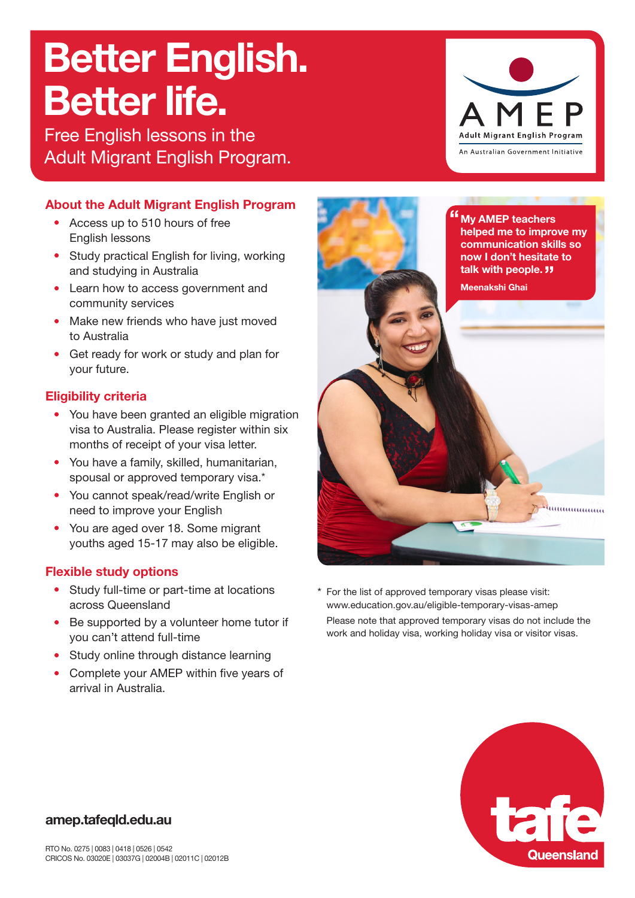# Better English. Better life.

Free English lessons in the Adult Migrant English Program.

### **About the Adult Migrant English Program**

- Access up to 510 hours of free English lessons
- Study practical English for living, working and studying in Australia
- Learn how to access government and community services
- Make new friends who have just moved to Australia
- Get ready for work or study and plan for your future.

## **Eligibility criteria**

- You have been granted an eligible migration visa to Australia. Please register within six months of receipt of your visa letter.
- You have a family, skilled, humanitarian, spousal or approved temporary visa.\*
- You cannot speak/read/write English or need to improve your English
- You are aged over 18. Some migrant youths aged 15-17 may also be eligible.

### **Flexible study options**

- Study full-time or part-time at locations across Queensland
- Be supported by a volunteer home tutor if you can't attend full-time
- Study online through distance learning
- Complete your AMEP within five years of arrival in Australia.



For the list of approved temporary visas please visit: www.education.gov.au/eligible-temporary-visas-amep Please note that approved temporary visas do not include the work and holiday visa, working holiday visa or visitor visas.



#### **amep.tafeqld.edu.au**

**Adult Migrant English Program** An Australian Government Initiative